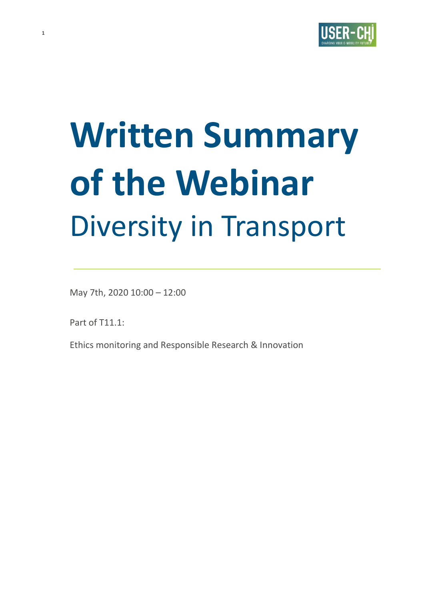

# **Written Summary of the Webinar**  Diversity in Transport

May 7th, 2020 10:00 – 12:00

Part of T11.1:

**1**

Ethics monitoring and Responsible Research & Innovation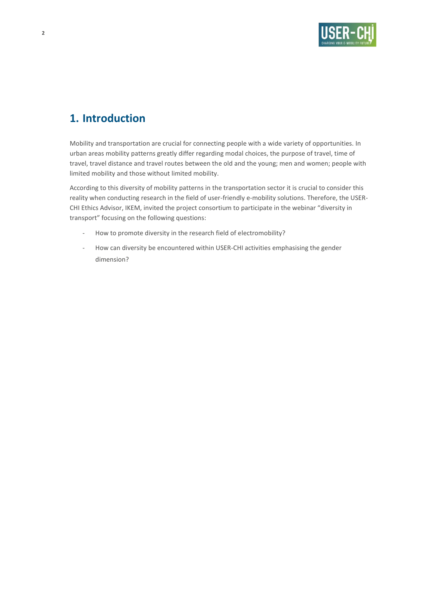

# **1. Introduction**

Mobility and transportation are crucial for connecting people with a wide variety of opportunities. In urban areas mobility patterns greatly differ regarding modal choices, the purpose of travel, time of travel, travel distance and travel routes between the old and the young; men and women; people with limited mobility and those without limited mobility.

According to this diversity of mobility patterns in the transportation sector it is crucial to consider this reality when conducting research in the field of user-friendly e-mobility solutions. Therefore, the USER-CHI Ethics Advisor, IKEM, invited the project consortium to participate in the webinar "diversity in transport" focusing on the following questions:

- How to promote diversity in the research field of electromobility?
- How can diversity be encountered within USER-CHI activities emphasising the gender dimension?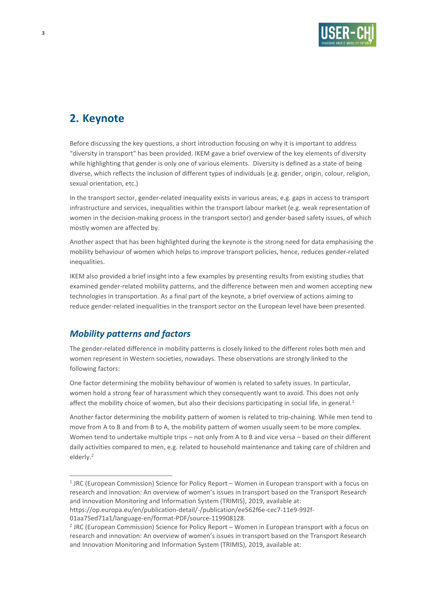

# **2. Keynote**

Before discussing the key questions, a short introduction focusing on why it is important to address "diversity in transport" has been provided. IKEM gave a brief overview of the key elements of diversity while highlighting that gender is only one of various elements. Diversity is defined as a state of being diverse, which reflects the inclusion of different types of individuals (e.g. gender, origin, colour, religion, sexual orientation, etc.)

In the transport sector, gender-related inequality exists in various areas, e.g. gaps in access to transport infrastructure and services, inequalities within the transport labour market (e.g. weak representation of women in the decision-making process in the transport sector) and gender-based safety issues, of which mostly women are affected by.

Another aspect that has been highlighted during the keynote is the strong need for data emphasising the mobility behaviour of women which helps to improve transport policies, hence, reduces gender-related inequalities.

IKEM also provided a brief insight into a few examples by presenting results from existing studies that examined gender-related mobility patterns, and the difference between men and women accepting new technologies in transportation. As a final part of the keynote, a brief overview of actions aiming to reduce gender-related inequalities in the transport sector on the European level have been presented.

## *Mobility patterns and factors*

The gender-related difference in mobility patterns is closely linked to the different roles both men and women represent in Western societies, nowadays. These observations are strongly linked to the following factors:

One factor determining the mobility behaviour of women is related to safety issues. In particular, women hold a strong fear of harassment which they consequently want to avoid. This does not only affect the mobility choice of women, but also their decisions participating in social life, in general.<sup>1</sup>

Another factor determining the mobility pattern of women is related to trip-chaining. While men tend to move from A to B and from B to A, the mobility pattern of women usually seem to be more complex. Women tend to undertake multiple trips – not only from A to B and vice versa – based on their different daily activities compared to men, e.g. related to household maintenance and taking care of children and elderly.<sup>2</sup>

<sup>&</sup>lt;sup>1</sup> JRC (European Commission) Science for Policy Report – Women in European transport with a focus on research and innovation: An overview of women's issues in transport based on the Transport Research and Innovation Monitoring and Information System (TRIMIS), 2019, available at:

[https://op.europa.eu/en/publication-detail/-/publication/ee562f6e-cec7-11e9-992f-](https://op.europa.eu/en/publication-detail/-/publication/ee562f6e-cec7-11e9-992f-01aa75ed71a1/language-en/format-PDF/source-119908128)

[<sup>01</sup>aa75ed71a1/language-en/format-PDF/source-119908128.](https://op.europa.eu/en/publication-detail/-/publication/ee562f6e-cec7-11e9-992f-01aa75ed71a1/language-en/format-PDF/source-119908128)

<sup>&</sup>lt;sup>2</sup> JRC (European Commission) Science for Policy Report – Women in European transport with a focus on research and innovation: An overview of women's issues in transport based on the Transport Research and Innovation Monitoring and Information System (TRIMIS), 2019, available at: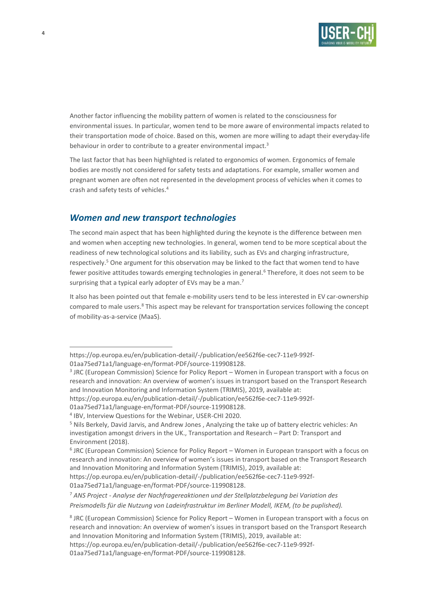

Another factor influencing the mobility pattern of women is related to the consciousness for environmental issues. In particular, women tend to be more aware of environmental impacts related to their transportation mode of choice. Based on this, women are more willing to adapt their everyday-life behaviour in order to contribute to a greater environmental impact.<sup>3</sup>

The last factor that has been highlighted is related to ergonomics of women. Ergonomics of female bodies are mostly not considered for safety tests and adaptations. For example, smaller women and pregnant women are often not represented in the development process of vehicles when it comes to crash and safety tests of vehicles. 4

## *Women and new transport technologies*

The second main aspect that has been highlighted during the keynote is the difference between men and women when accepting new technologies. In general, women tend to be more sceptical about the readiness of new technological solutions and its liability, such as EVs and charging infrastructure, respectively.<sup>5</sup> One argument for this observation may be linked to the fact that women tend to have fewer positive attitudes towards emerging technologies in general.<sup>6</sup> Therefore, it does not seem to be surprising that a typical early adopter of EVs may be a man.<sup>7</sup>

It also has been pointed out that female e-mobility users tend to be less interested in EV car-ownership compared to male users. <sup>8</sup> This aspect may be relevant for transportation services following the concept of mobility-as-a-service (MaaS).

[https://op.europa.eu/en/publication-detail/-/publication/ee562f6e-cec7-11e9-992f-](https://op.europa.eu/en/publication-detail/-/publication/ee562f6e-cec7-11e9-992f-01aa75ed71a1/language-en/format-PDF/source-119908128)

[<sup>01</sup>aa75ed71a1/language-en/format-PDF/source-119908128.](https://op.europa.eu/en/publication-detail/-/publication/ee562f6e-cec7-11e9-992f-01aa75ed71a1/language-en/format-PDF/source-119908128)

<sup>&</sup>lt;sup>3</sup> JRC (European Commission) Science for Policy Report – Women in European transport with a focus on research and innovation: An overview of women's issues in transport based on the Transport Research and Innovation Monitoring and Information System (TRIMIS), 2019, available at:

[https://op.europa.eu/en/publication-detail/-/publication/ee562f6e-cec7-11e9-992f-](https://op.europa.eu/en/publication-detail/-/publication/ee562f6e-cec7-11e9-992f-01aa75ed71a1/language-en/format-PDF/source-119908128)

[<sup>01</sup>aa75ed71a1/language-en/format-PDF/source-119908128.](https://op.europa.eu/en/publication-detail/-/publication/ee562f6e-cec7-11e9-992f-01aa75ed71a1/language-en/format-PDF/source-119908128)

<sup>4</sup> IBV, Interview Questions for the Webinar, USER-CHI 2020.

<sup>5</sup> Nils Berkely, David Jarvis, and Andrew Jones , Analyzing the take up of battery electric vehicles: An investigation amongst drivers in the UK., Transportation and Research – Part D: Transport and Environment (2018).

<sup>&</sup>lt;sup>6</sup> JRC (European Commission) Science for Policy Report – Women in European transport with a focus on research and innovation: An overview of women's issues in transport based on the Transport Research and Innovation Monitoring and Information System (TRIMIS), 2019, available at:

[https://op.europa.eu/en/publication-detail/-/publication/ee562f6e-cec7-11e9-992f-](https://op.europa.eu/en/publication-detail/-/publication/ee562f6e-cec7-11e9-992f-01aa75ed71a1/language-en/format-PDF/source-119908128)[01aa75ed71a1/language-en/format-PDF/source-119908128.](https://op.europa.eu/en/publication-detail/-/publication/ee562f6e-cec7-11e9-992f-01aa75ed71a1/language-en/format-PDF/source-119908128)

<sup>7</sup> *ANS Project - Analyse der Nachfragereaktionen und der Stellplatzbelegung bei Variation des Preismodells für die Nutzung von Ladeinfrastruktur im Berliner Modell, IKEM, (to be puplished).*

<sup>&</sup>lt;sup>8</sup> JRC (European Commission) Science for Policy Report – Women in European transport with a focus on research and innovation: An overview of women's issues in transport based on the Transport Research and Innovation Monitoring and Information System (TRIMIS), 2019, available at:

[https://op.europa.eu/en/publication-detail/-/publication/ee562f6e-cec7-11e9-992f-](https://op.europa.eu/en/publication-detail/-/publication/ee562f6e-cec7-11e9-992f-01aa75ed71a1/language-en/format-PDF/source-119908128)

[<sup>01</sup>aa75ed71a1/language-en/format-PDF/source-119908128.](https://op.europa.eu/en/publication-detail/-/publication/ee562f6e-cec7-11e9-992f-01aa75ed71a1/language-en/format-PDF/source-119908128)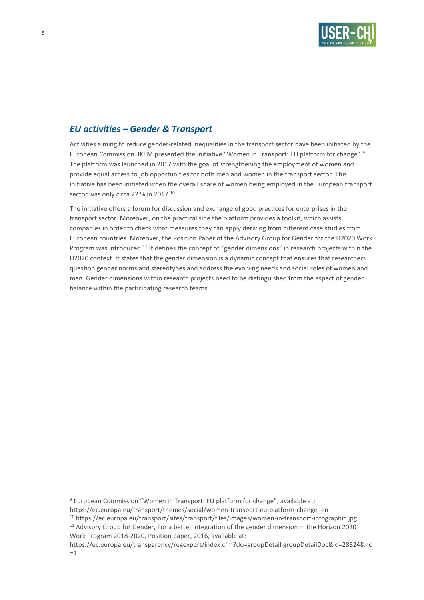

## *EU activities – Gender & Transport*

Activities aiming to reduce gender-related inequalities in the transport sector have been initiated by the European Commission. IKEM presented the initiative "Women in Transport: EU platform for change". 9 The platform was launched in 2017 with the goal of strengthening the employment of women and provide equal access to job opportunities for both men and women in the transport sector. This initiative has been initiated when the overall share of women being employed in the European transport sector was only circa 22 % in 2017.<sup>10</sup>

The initiative offers a forum for discussion and exchange of good practices for enterprises in the transport sector. Moreover, on the practical side the platform provides a toolkit, which assists companies in order to check what measures they can apply deriving from different case studies from European countries. Moreover, the Position Paper of the Advisory Group for Gender for the H2020 Work Program was introduced.<sup>11</sup> It defines the concept of "gender dimensions" in research projects within the H2020 context. It states that the gender dimension is a dynamic concept that ensures that researchers question gender norms and stereotypes and address the evolving needs and social roles of women and men. Gender dimensions within research projects need to be distinguished from the aspect of gender balance within the participating research teams.

<sup>9</sup> European Commission "Women in Transport: EU platform for change", available at:

https://ec.europa.eu/transport/themes/social/women-transport-eu-platform-change\_en

<sup>10</sup> https://ec.europa.eu/transport/sites/transport/files/images/women-in-transport-infographic.jpg

<sup>&</sup>lt;sup>11</sup> Advisory Group for Gender, For a better integration of the gender dimension in the Horizon 2020 Work Program 2018-2020, Position paper, 2016, available at:

https://ec.europa.eu/transparency/regexpert/index.cfm?do=groupDetail.groupDetailDoc&id=28824&no  $=1$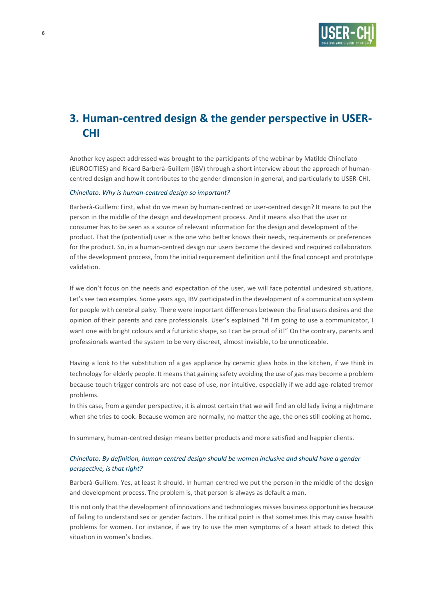

# **3. Human-centred design & the gender perspective in USER-CHI**

Another key aspect addressed was brought to the participants of the webinar by Matilde Chinellato (EUROCITIES) and Ricard Barberà-Guillem (IBV) through a short interview about the approach of humancentred design and how it contributes to the gender dimension in general, and particularly to USER-CHI.

#### *Chinellato: Why is human-centred design so important?*

Barberà-Guillem: First, what do we mean by human-centred or user-centred design? It means to put the person in the middle of the design and development process. And it means also that the user or consumer has to be seen as a source of relevant information for the design and development of the product. That the (potential) user is the one who better knows their needs, requirements or preferences for the product. So, in a human-centred design our users become the desired and required collaborators of the development process, from the initial requirement definition until the final concept and prototype validation.

If we don't focus on the needs and expectation of the user, we will face potential undesired situations. Let's see two examples. Some years ago, IBV participated in the development of a communication system for people with cerebral palsy. There were important differences between the final users desires and the opinion of their parents and care professionals. User's explained "If I'm going to use a communicator, I want one with bright colours and a futuristic shape, so I can be proud of it!" On the contrary, parents and professionals wanted the system to be very discreet, almost invisible, to be unnoticeable.

Having a look to the substitution of a gas appliance by ceramic glass hobs in the kitchen, if we think in technology for elderly people. It means that gaining safety avoiding the use of gas may become a problem because touch trigger controls are not ease of use, nor intuitive, especially if we add age-related tremor problems.

In this case, from a gender perspective, it is almost certain that we will find an old lady living a nightmare when she tries to cook. Because women are normally, no matter the age, the ones still cooking at home.

In summary, human-centred design means better products and more satisfied and happier clients.

#### *Chinellato: By definition, human centred design should be women inclusive and should have a gender perspective, is that right?*

Barberà-Guillem: Yes, at least it should. In human centred we put the person in the middle of the design and development process. The problem is, that person is always as default a man.

It is not only that the development of innovations and technologies misses business opportunities because of failing to understand sex or gender factors. The critical point is that sometimes this may cause health problems for women. For instance, if we try to use the men symptoms of a heart attack to detect this situation in women's bodies.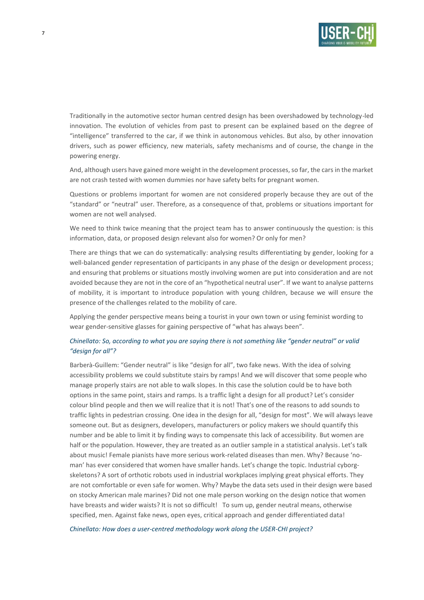

Traditionally in the automotive sector human centred design has been overshadowed by technology-led innovation. The evolution of vehicles from past to present can be explained based on the degree of "intelligence" transferred to the car, if we think in autonomous vehicles. But also, by other innovation drivers, such as power efficiency, new materials, safety mechanisms and of course, the change in the powering energy.

And, although users have gained more weight in the development processes, so far, the cars in the market are not crash tested with women dummies nor have safety belts for pregnant women.

Questions or problems important for women are not considered properly because they are out of the "standard" or "neutral" user. Therefore, as a consequence of that, problems or situations important for women are not well analysed.

We need to think twice meaning that the project team has to answer continuously the question: is this information, data, or proposed design relevant also for women? Or only for men?

There are things that we can do systematically: analysing results differentiating by gender, looking for a well-balanced gender representation of participants in any phase of the design or development process; and ensuring that problems or situations mostly involving women are put into consideration and are not avoided because they are not in the core of an "hypothetical neutral user". If we want to analyse patterns of mobility, it is important to introduce population with young children, because we will ensure the presence of the challenges related to the mobility of care.

Applying the gender perspective means being a tourist in your own town or using feminist wording to wear gender-sensitive glasses for gaining perspective of "what has always been".

#### *Chinellato: So, according to what you are saying there is not something like "gender neutral" or valid "design for all"?*

Barberà-Guillem: "Gender neutral" is like "design for all", two fake news. With the idea of solving accessibility problems we could substitute stairs by ramps! And we will discover that some people who manage properly stairs are not able to walk slopes. In this case the solution could be to have both options in the same point, stairs and ramps. Is a traffic light a design for all product? Let's consider colour blind people and then we will realize that it is not! That's one of the reasons to add sounds to traffic lights in pedestrian crossing. One idea in the design for all, "design for most". We will always leave someone out. But as designers, developers, manufacturers or policy makers we should quantify this number and be able to limit it by finding ways to compensate this lack of accessibility. But women are half or the population. However, they are treated as an outlier sample in a statistical analysis. Let's talk about music! Female pianists have more serious work-related diseases than men. Why? Because 'noman' has ever considered that women have smaller hands. Let's change the topic. Industrial cyborgskeletons? A sort of orthotic robots used in industrial workplaces implying great physical efforts. They are not comfortable or even safe for women. Why? Maybe the data sets used in their design were based on stocky American male marines? Did not one male person working on the design notice that women have breasts and wider waists? It is not so difficult! To sum up, gender neutral means, otherwise specified, men. Against fake news, open eyes, critical approach and gender differentiated data!

*Chinellato: How does a user-centred methodology work along the USER-CHI project?*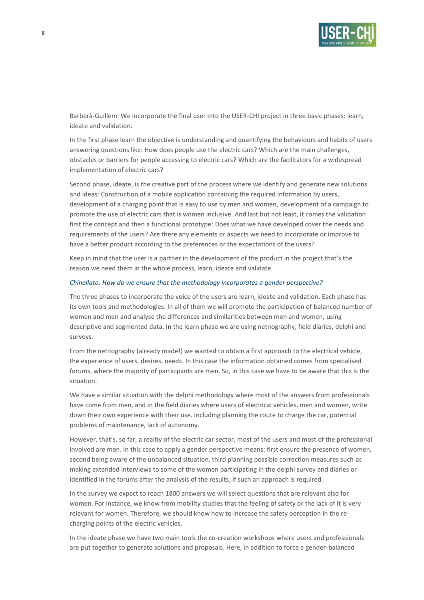

Barberà-Guillem: We incorporate the final user into the USER-CHI project in three basic phases: learn, ideate and validation.

In the first phase learn the objective is understanding and quantifying the behaviours and habits of users answering questions like: How does people use the electric cars? Which are the main challenges, obstacles or barriers for people accessing to electric cars? Which are the facilitators for a widespread implementation of electric cars?

Second phase, ideate, is the creative part of the process where we identify and generate new solutions and ideas: Construction of a mobile application containing the required information by users, development of a charging point that is easy to use by men and women, development of a campaign to promote the use of electric cars that is women inclusive. And last but not least, it comes the validation first the concept and then a functional prototype: Does what we have developed cover the needs and requirements of the users? Are there any elements or aspects we need to incorporate or improve to have a better product according to the preferences or the expectations of the users?

Keep in mind that the user is a partner in the development of the product in the project that's the reason we need them in the whole process, learn, ideate and validate.

#### *Chinellato: How do we ensure that the methodology incorporates a gender perspective?*

The three phases to incorporate the voice of the users are learn, ideate and validation. Each phase has its own tools and methodologies. In all of them we will promote the participation of balanced number of women and men and analyse the differences and similarities between men and women, using descriptive and segmented data. In the learn phase we are using netnography, field diaries, delphi and surveys.

From the netnography (already made!) we wanted to obtain a first approach to the electrical vehicle, the experience of users, desires, needs. In this case the information obtained comes from specialised forums, where the majority of participants are men. So, in this case we have to be aware that this is the situation.

We have a similar situation with the delphi methodology where most of the answers from professionals have come from men, and in the field diaries where users of electrical vehicles, men and women, write down their own experience with their use. Including planning the route to charge the car, potential problems of maintenance, lack of autonomy.

However, that's, so far, a reality of the electric car sector, most of the users and most of the professional involved are men. In this case to apply a gender perspective means: first ensure the presence of women, second being aware of the unbalanced situation, third planning possible correction measures such as making extended interviews to some of the women participating in the delphi survey and diaries or identified in the forums after the analysis of the results, if such an approach is required.

In the survey we expect to reach 1800 answers we will select questions that are relevant also for women. For instance, we know from mobility studies that the feeling of safety or the lack of it is very relevant for women. Therefore, we should know how to increase the safety perception in the recharging points of the electric vehicles.

In the ideate phase we have two main tools the co-creation workshops where users and professionals are put together to generate solutions and proposals. Here, in addition to force a gender-balanced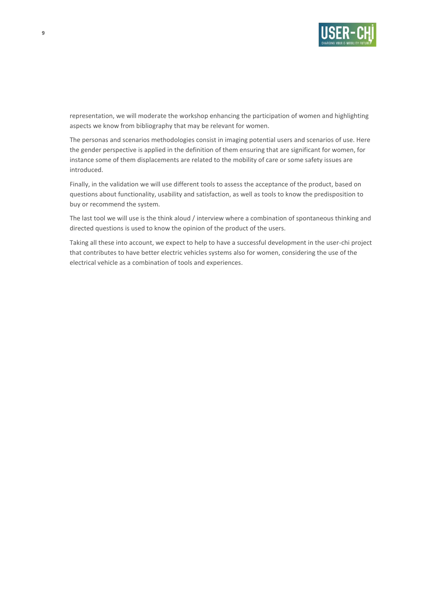

representation, we will moderate the workshop enhancing the participation of women and highlighting aspects we know from bibliography that may be relevant for women.

The personas and scenarios methodologies consist in imaging potential users and scenarios of use. Here the gender perspective is applied in the definition of them ensuring that are significant for women, for instance some of them displacements are related to the mobility of care or some safety issues are introduced.

Finally, in the validation we will use different tools to assess the acceptance of the product, based on questions about functionality, usability and satisfaction, as well as tools to know the predisposition to buy or recommend the system.

The last tool we will use is the think aloud / interview where a combination of spontaneous thinking and directed questions is used to know the opinion of the product of the users.

Taking all these into account, we expect to help to have a successful development in the user-chi project that contributes to have better electric vehicles systems also for women, considering the use of the electrical vehicle as a combination of tools and experiences.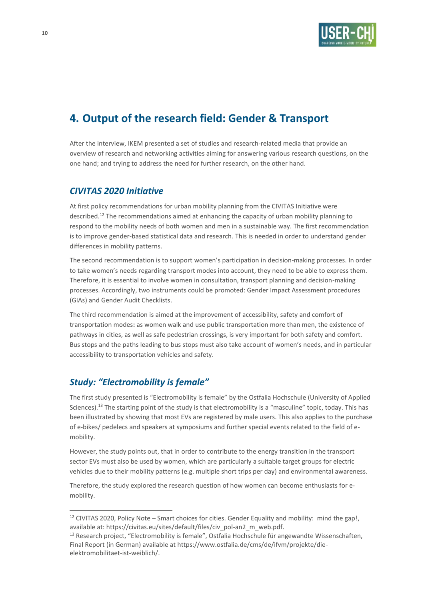

# **4. Output of the research field: Gender & Transport**

After the interview, IKEM presented a set of studies and research-related media that provide an overview of research and networking activities aiming for answering various research questions, on the one hand; and trying to address the need for further research, on the other hand.

## *CIVITAS 2020 Initiative*

At first policy recommendations for urban mobility planning from the CIVITAS Initiative were described.<sup>12</sup> The recommendations aimed at enhancing the capacity of urban mobility planning to respond to the mobility needs of both women and men in a sustainable way. The first recommendation is to improve gender-based statistical data and research. This is needed in order to understand gender differences in mobility patterns.

The second recommendation is to support women's participation in decision-making processes. In order to take women's needs regarding transport modes into account, they need to be able to express them. Therefore, it is essential to involve women in consultation, transport planning and decision-making processes. Accordingly, two instruments could be promoted: Gender Impact Assessment procedures (GIAs) and Gender Audit Checklists.

The third recommendation is aimed at the improvement of accessibility, safety and comfort of transportation modes**:** as women walk and use public transportation more than men, the existence of pathways in cities, as well as safe pedestrian crossings, is very important for both safety and comfort. Bus stops and the paths leading to bus stops must also take account of women's needs, and in particular accessibility to transportation vehicles and safety.

## *Study: "Electromobility is female"*

The first study presented is "Electromobility is female" by the Ostfalia Hochschule (University of Applied Sciences).<sup>13</sup> The starting point of the study is that electromobility is a "masculine" topic, today. This has been illustrated by showing that most EVs are registered by male users. This also applies to the purchase of e-bikes/ pedelecs and speakers at symposiums and further special events related to the field of emobility.

However, the study points out, that in order to contribute to the energy transition in the transport sector EVs must also be used by women, which are particularly a suitable target groups for electric vehicles due to their mobility patterns (e.g. multiple short trips per day) and environmental awareness.

Therefore, the study explored the research question of how women can become enthusiasts for emobility.

<sup>&</sup>lt;sup>12</sup> CIVITAS 2020, Policy Note – Smart choices for cities. Gender Equality and mobility: mind the gap!, available at: https://civitas.eu/sites/default/files/civ\_pol-an2\_m\_web.pdf.

<sup>&</sup>lt;sup>13</sup> Research project, "Electromobility is female", Ostfalia Hochschule für angewandte Wissenschaften, Final Report (in German) available at https://www.ostfalia.de/cms/de/ifvm/projekte/dieelektromobilitaet-ist-weiblich/.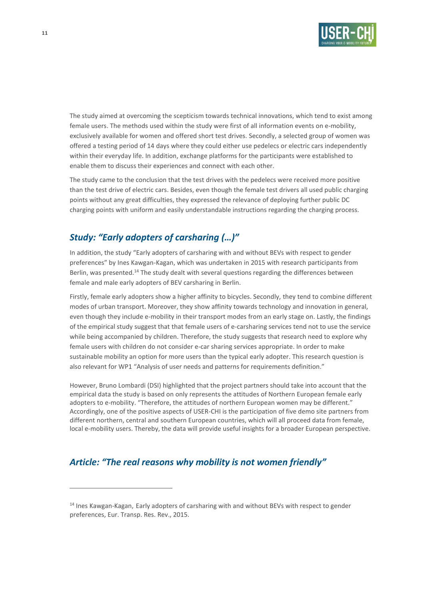

The study aimed at overcoming the scepticism towards technical innovations, which tend to exist among female users. The methods used within the study were first of all information events on e-mobility, exclusively available for women and offered short test drives. Secondly, a selected group of women was offered a testing period of 14 days where they could either use pedelecs or electric cars independently within their everyday life. In addition, exchange platforms for the participants were established to enable them to discuss their experiences and connect with each other.

The study came to the conclusion that the test drives with the pedelecs were received more positive than the test drive of electric cars. Besides, even though the female test drivers all used public charging points without any great difficulties, they expressed the relevance of deploying further public DC charging points with uniform and easily understandable instructions regarding the charging process.

# *Study: "Early adopters of carsharing (…)"*

In addition, the study "Early adopters of carsharing with and without BEVs with respect to gender preferences" by Ines Kawgan-Kagan, which was undertaken in 2015 with research participants from Berlin, was presented.<sup>14</sup> The study dealt with several questions regarding the differences between female and male early adopters of BEV carsharing in Berlin.

Firstly, female early adopters show a higher affinity to bicycles. Secondly, they tend to combine different modes of urban transport. Moreover, they show affinity towards technology and innovation in general, even though they include e-mobility in their transport modes from an early stage on. Lastly, the findings of the empirical study suggest that that female users of e-carsharing services tend not to use the service while being accompanied by children. Therefore, the study suggests that research need to explore why female users with children do not consider e-car sharing services appropriate. In order to make sustainable mobility an option for more users than the typical early adopter. This research question is also relevant for WP1 "Analysis of user needs and patterns for requirements definition."

However, Bruno Lombardi (DSI) highlighted that the project partners should take into account that the empirical data the study is based on only represents the attitudes of Northern European female early adopters to e-mobility. "Therefore, the attitudes of northern European women may be different." Accordingly, one of the positive aspects of USER-CHI is the participation of five demo site partners from different northern, central and southern European countries, which will all proceed data from female, local e-mobility users. Thereby, the data will provide useful insights for a broader European perspective.

## *Article: "The real reasons why mobility is not women friendly"*

<sup>&</sup>lt;sup>14</sup> Ines Kawgan-Kagan, Early adopters of carsharing with and without BEVs with respect to gender preferences, Eur. Transp. Res. Rev., 2015.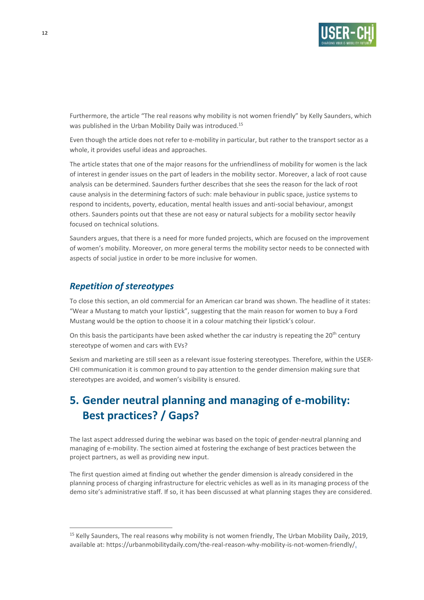

Furthermore, the article "The real reasons why mobility is not women friendly" by Kelly Saunders, which was published in the Urban Mobility Daily was introduced.<sup>15</sup>

Even though the article does not refer to e-mobility in particular, but rather to the transport sector as a whole, it provides useful ideas and approaches.

The article states that one of the major reasons for the unfriendliness of mobility for women is the lack of interest in gender issues on the part of leaders in the mobility sector. Moreover, a lack of root cause analysis can be determined. Saunders further describes that she sees the reason for the lack of root cause analysis in the determining factors of such: male behaviour in public space, justice systems to respond to incidents, poverty, education, mental health issues and anti-social behaviour, amongst others. Saunders points out that these are not easy or natural subjects for a mobility sector heavily focused on technical solutions.

Saunders argues, that there is a need for more funded projects, which are focused on the improvement of women's mobility. Moreover, on more general terms the mobility sector needs to be connected with aspects of social justice in order to be more inclusive for women.

## *Repetition of stereotypes*

To close this section, an old commercial for an American car brand was shown. The headline of it states: "Wear a Mustang to match your lipstick", suggesting that the main reason for women to buy a Ford Mustang would be the option to choose it in a colour matching their lipstick's colour.

On this basis the participants have been asked whether the car industry is repeating the 20<sup>th</sup> century stereotype of women and cars with EVs?

Sexism and marketing are still seen as a relevant issue fostering stereotypes. Therefore, within the USER-CHI communication it is common ground to pay attention to the gender dimension making sure that stereotypes are avoided, and women's visibility is ensured.

# **5. Gender neutral planning and managing of e-mobility: Best practices? / Gaps?**

The last aspect addressed during the webinar was based on the topic of gender-neutral planning and managing of e-mobility. The section aimed at fostering the exchange of best practices between the project partners, as well as providing new input.

The first question aimed at finding out whether the gender dimension is already considered in the planning process of charging infrastructure for electric vehicles as well as in its managing process of the demo site's administrative staff. If so, it has been discussed at what planning stages they are considered.

<sup>&</sup>lt;sup>15</sup> Kelly Saunders, The real reasons why mobility is not women friendly, The Urban Mobility Daily, 2019, available at: https://urbanmobilitydaily.com/the-real-reason-why-mobility-is-not-women-friendly/.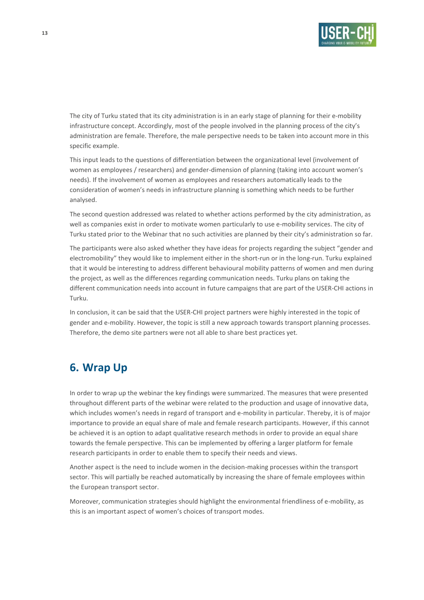

The city of Turku stated that its city administration is in an early stage of planning for their e-mobility infrastructure concept. Accordingly, most of the people involved in the planning process of the city's administration are female. Therefore, the male perspective needs to be taken into account more in this specific example.

This input leads to the questions of differentiation between the organizational level (involvement of women as employees / researchers) and gender-dimension of planning (taking into account women's needs). If the involvement of women as employees and researchers automatically leads to the consideration of women's needs in infrastructure planning is something which needs to be further analysed.

The second question addressed was related to whether actions performed by the city administration, as well as companies exist in order to motivate women particularly to use e-mobility services. The city of Turku stated prior to the Webinar that no such activities are planned by their city's administration so far.

The participants were also asked whether they have ideas for projects regarding the subject "gender and electromobility" they would like to implement either in the short-run or in the long-run. Turku explained that it would be interesting to address different behavioural mobility patterns of women and men during the project, as well as the differences regarding communication needs. Turku plans on taking the different communication needs into account in future campaigns that are part of the USER-CHI actions in Turku.

In conclusion, it can be said that the USER-CHI project partners were highly interested in the topic of gender and e-mobility. However, the topic is still a new approach towards transport planning processes. Therefore, the demo site partners were not all able to share best practices yet.

# **6. Wrap Up**

In order to wrap up the webinar the key findings were summarized. The measures that were presented throughout different parts of the webinar were related to the production and usage of innovative data, which includes women's needs in regard of transport and e-mobility in particular. Thereby, it is of major importance to provide an equal share of male and female research participants. However, if this cannot be achieved it is an option to adapt qualitative research methods in order to provide an equal share towards the female perspective. This can be implemented by offering a larger platform for female research participants in order to enable them to specify their needs and views.

Another aspect is the need to include women in the decision-making processes within the transport sector. This will partially be reached automatically by increasing the share of female employees within the European transport sector.

Moreover, communication strategies should highlight the environmental friendliness of e-mobility, as this is an important aspect of women's choices of transport modes.